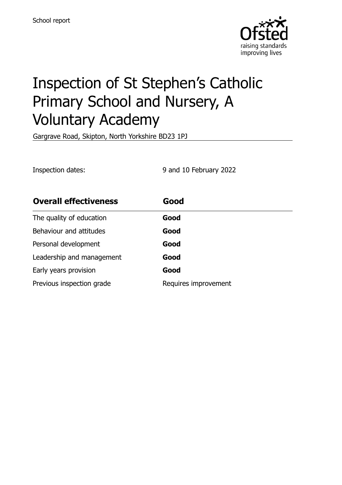

# Inspection of St Stephen's Catholic Primary School and Nursery, A Voluntary Academy

Gargrave Road, Skipton, North Yorkshire BD23 1PJ

Inspection dates: 9 and 10 February 2022

| <b>Overall effectiveness</b> | Good                 |
|------------------------------|----------------------|
| The quality of education     | Good                 |
| Behaviour and attitudes      | Good                 |
| Personal development         | Good                 |
| Leadership and management    | Good                 |
| Early years provision        | Good                 |
| Previous inspection grade    | Requires improvement |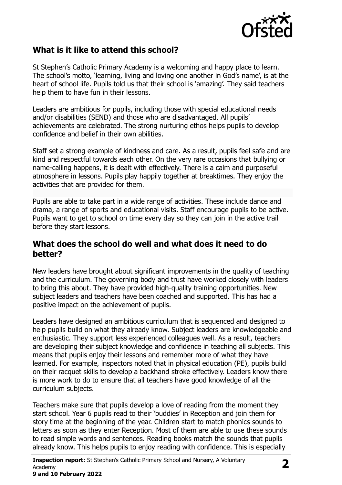

## **What is it like to attend this school?**

St Stephen's Catholic Primary Academy is a welcoming and happy place to learn. The school's motto, 'learning, living and loving one another in God's name', is at the heart of school life. Pupils told us that their school is 'amazing'. They said teachers help them to have fun in their lessons.

Leaders are ambitious for pupils, including those with special educational needs and/or disabilities (SEND) and those who are disadvantaged. All pupils' achievements are celebrated. The strong nurturing ethos helps pupils to develop confidence and belief in their own abilities.

Staff set a strong example of kindness and care. As a result, pupils feel safe and are kind and respectful towards each other. On the very rare occasions that bullying or name-calling happens, it is dealt with effectively. There is a calm and purposeful atmosphere in lessons. Pupils play happily together at breaktimes. They enjoy the activities that are provided for them.

Pupils are able to take part in a wide range of activities. These include dance and drama, a range of sports and educational visits. Staff encourage pupils to be active. Pupils want to get to school on time every day so they can join in the active trail before they start lessons.

### **What does the school do well and what does it need to do better?**

New leaders have brought about significant improvements in the quality of teaching and the curriculum. The governing body and trust have worked closely with leaders to bring this about. They have provided high-quality training opportunities. New subject leaders and teachers have been coached and supported. This has had a positive impact on the achievement of pupils.

Leaders have designed an ambitious curriculum that is sequenced and designed to help pupils build on what they already know. Subject leaders are knowledgeable and enthusiastic. They support less experienced colleagues well. As a result, teachers are developing their subject knowledge and confidence in teaching all subjects. This means that pupils enjoy their lessons and remember more of what they have learned. For example, inspectors noted that in physical education (PE), pupils build on their racquet skills to develop a backhand stroke effectively. Leaders know there is more work to do to ensure that all teachers have good knowledge of all the curriculum subjects.

Teachers make sure that pupils develop a love of reading from the moment they start school. Year 6 pupils read to their 'buddies' in Reception and join them for story time at the beginning of the year. Children start to match phonics sounds to letters as soon as they enter Reception. Most of them are able to use these sounds to read simple words and sentences. Reading books match the sounds that pupils already know. This helps pupils to enjoy reading with confidence. This is especially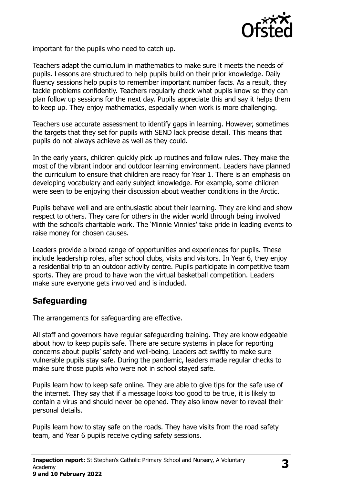

important for the pupils who need to catch up.

Teachers adapt the curriculum in mathematics to make sure it meets the needs of pupils. Lessons are structured to help pupils build on their prior knowledge. Daily fluency sessions help pupils to remember important number facts. As a result, they tackle problems confidently. Teachers regularly check what pupils know so they can plan follow up sessions for the next day. Pupils appreciate this and say it helps them to keep up. They enjoy mathematics, especially when work is more challenging.

Teachers use accurate assessment to identify gaps in learning. However, sometimes the targets that they set for pupils with SEND lack precise detail. This means that pupils do not always achieve as well as they could.

In the early years, children quickly pick up routines and follow rules. They make the most of the vibrant indoor and outdoor learning environment. Leaders have planned the curriculum to ensure that children are ready for Year 1. There is an emphasis on developing vocabulary and early subject knowledge. For example, some children were seen to be enjoying their discussion about weather conditions in the Arctic.

Pupils behave well and are enthusiastic about their learning. They are kind and show respect to others. They care for others in the wider world through being involved with the school's charitable work. The 'Minnie Vinnies' take pride in leading events to raise money for chosen causes.

Leaders provide a broad range of opportunities and experiences for pupils. These include leadership roles, after school clubs, visits and visitors. In Year 6, they enjoy a residential trip to an outdoor activity centre. Pupils participate in competitive team sports. They are proud to have won the virtual basketball competition. Leaders make sure everyone gets involved and is included.

# **Safeguarding**

The arrangements for safeguarding are effective.

All staff and governors have regular safeguarding training. They are knowledgeable about how to keep pupils safe. There are secure systems in place for reporting concerns about pupils' safety and well-being. Leaders act swiftly to make sure vulnerable pupils stay safe. During the pandemic, leaders made regular checks to make sure those pupils who were not in school stayed safe.

Pupils learn how to keep safe online. They are able to give tips for the safe use of the internet. They say that if a message looks too good to be true, it is likely to contain a virus and should never be opened. They also know never to reveal their personal details.

Pupils learn how to stay safe on the roads. They have visits from the road safety team, and Year 6 pupils receive cycling safety sessions.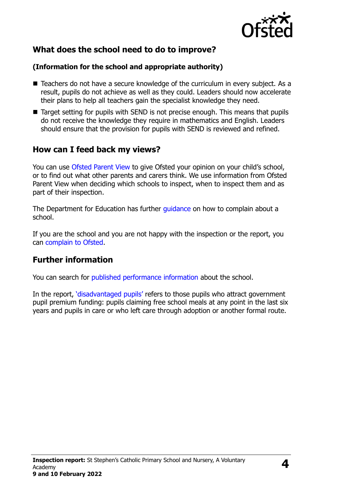

# **What does the school need to do to improve?**

### **(Information for the school and appropriate authority)**

- Teachers do not have a secure knowledge of the curriculum in every subject. As a result, pupils do not achieve as well as they could. Leaders should now accelerate their plans to help all teachers gain the specialist knowledge they need.
- Target setting for pupils with SEND is not precise enough. This means that pupils do not receive the knowledge they require in mathematics and English. Leaders should ensure that the provision for pupils with SEND is reviewed and refined.

## **How can I feed back my views?**

You can use [Ofsted Parent View](http://parentview.ofsted.gov.uk/) to give Ofsted your opinion on your child's school, or to find out what other parents and carers think. We use information from Ofsted Parent View when deciding which schools to inspect, when to inspect them and as part of their inspection.

The Department for Education has further quidance on how to complain about a school.

If you are the school and you are not happy with the inspection or the report, you can [complain to Ofsted.](http://www.gov.uk/complain-ofsted-report)

# **Further information**

You can search for [published performance information](http://www.compare-school-performance.service.gov.uk/) about the school.

In the report, '[disadvantaged pupils](http://www.gov.uk/guidance/pupil-premium-information-for-schools-and-alternative-provision-settings)' refers to those pupils who attract government pupil premium funding: pupils claiming free school meals at any point in the last six years and pupils in care or who left care through adoption or another formal route.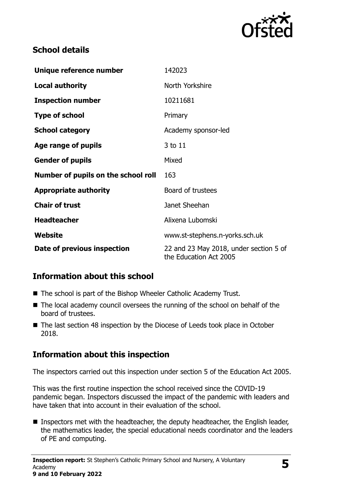

# **School details**

| Unique reference number             | 142023                                                           |
|-------------------------------------|------------------------------------------------------------------|
| <b>Local authority</b>              | North Yorkshire                                                  |
| <b>Inspection number</b>            | 10211681                                                         |
| <b>Type of school</b>               | Primary                                                          |
| <b>School category</b>              | Academy sponsor-led                                              |
| Age range of pupils                 | 3 to 11                                                          |
| <b>Gender of pupils</b>             | Mixed                                                            |
| Number of pupils on the school roll | 163                                                              |
| <b>Appropriate authority</b>        | Board of trustees                                                |
| <b>Chair of trust</b>               | Janet Sheehan                                                    |
| <b>Headteacher</b>                  | Alixena Lubomski                                                 |
| Website                             | www.st-stephens.n-yorks.sch.uk                                   |
| Date of previous inspection         | 22 and 23 May 2018, under section 5 of<br>the Education Act 2005 |

# **Information about this school**

- The school is part of the Bishop Wheeler Catholic Academy Trust.
- The local academy council oversees the running of the school on behalf of the board of trustees.
- The last section 48 inspection by the Diocese of Leeds took place in October 2018.

# **Information about this inspection**

The inspectors carried out this inspection under section 5 of the Education Act 2005.

This was the first routine inspection the school received since the COVID-19 pandemic began. Inspectors discussed the impact of the pandemic with leaders and have taken that into account in their evaluation of the school.

 $\blacksquare$  Inspectors met with the headteacher, the deputy headteacher, the English leader, the mathematics leader, the special educational needs coordinator and the leaders of PE and computing.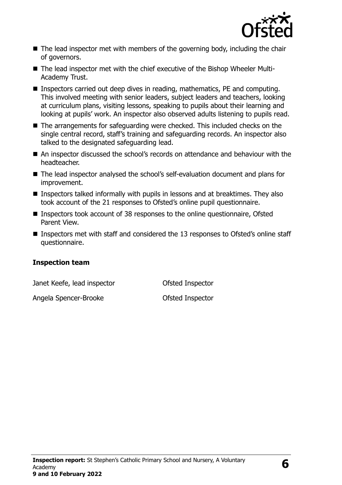

- The lead inspector met with members of the governing body, including the chair of governors.
- The lead inspector met with the chief executive of the Bishop Wheeler Multi-Academy Trust.
- Inspectors carried out deep dives in reading, mathematics, PE and computing. This involved meeting with senior leaders, subject leaders and teachers, looking at curriculum plans, visiting lessons, speaking to pupils about their learning and looking at pupils' work. An inspector also observed adults listening to pupils read.
- The arrangements for safeguarding were checked. This included checks on the single central record, staff's training and safeguarding records. An inspector also talked to the designated safeguarding lead.
- An inspector discussed the school's records on attendance and behaviour with the headteacher.
- The lead inspector analysed the school's self-evaluation document and plans for improvement.
- **Inspectors talked informally with pupils in lessons and at breaktimes. They also** took account of the 21 responses to Ofsted's online pupil questionnaire.
- Inspectors took account of 38 responses to the online questionnaire, Ofsted Parent View.
- Inspectors met with staff and considered the 13 responses to Ofsted's online staff questionnaire.

#### **Inspection team**

Janet Keefe, lead inspector Ofsted Inspector

Angela Spencer-Brooke **Canadia** Ofsted Inspector